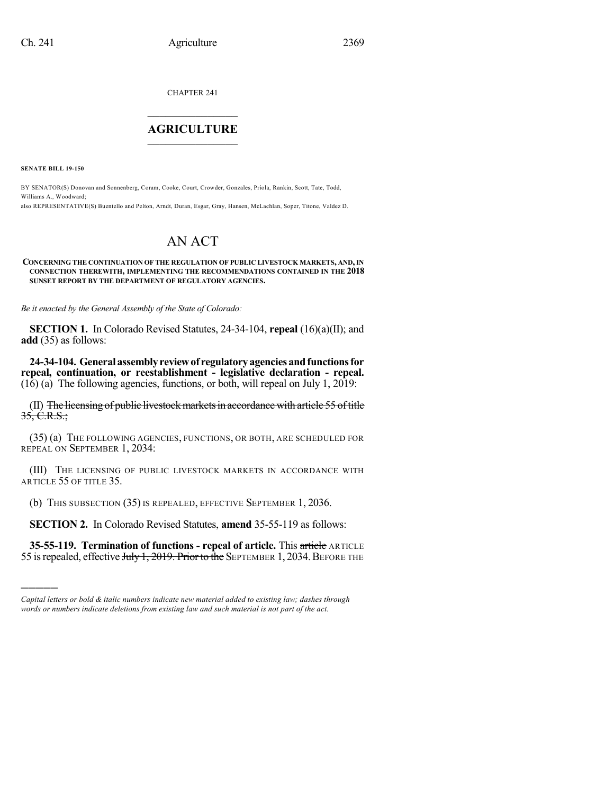CHAPTER 241

## $\overline{\phantom{a}}$  . The set of the set of the set of the set of the set of the set of the set of the set of the set of the set of the set of the set of the set of the set of the set of the set of the set of the set of the set o **AGRICULTURE**  $\_$   $\_$   $\_$   $\_$   $\_$   $\_$   $\_$   $\_$

**SENATE BILL 19-150**

)))))

BY SENATOR(S) Donovan and Sonnenberg, Coram, Cooke, Court, Crowder, Gonzales, Priola, Rankin, Scott, Tate, Todd, Williams A., Woodward;

also REPRESENTATIVE(S) Buentello and Pelton, Arndt, Duran, Esgar, Gray, Hansen, McLachlan, Soper, Titone, Valdez D.

# AN ACT

#### **CONCERNING THE CONTINUATION OF THE REGULATION OF PUBLIC LIVESTOCK MARKETS, AND,IN CONNECTION THEREWITH, IMPLEMENTING THE RECOMMENDATIONS CONTAINED IN THE 2018 SUNSET REPORT BY THE DEPARTMENT OF REGULATORY AGENCIES.**

*Be it enacted by the General Assembly of the State of Colorado:*

**SECTION 1.** In Colorado Revised Statutes, 24-34-104, **repeal** (16)(a)(II); and **add** (35) as follows:

**24-34-104. Generalassemblyreviewof regulatoryagenciesandfunctionsfor repeal, continuation, or reestablishment - legislative declaration - repeal.** (16) (a) The following agencies, functions, or both, will repeal on July 1, 2019:

 $(II)$  The licensing of public livestock markets in accordance with article 55 of title  $35, C.R.S.$ ;

(35) (a) THE FOLLOWING AGENCIES, FUNCTIONS, OR BOTH, ARE SCHEDULED FOR REPEAL ON SEPTEMBER 1, 2034:

(III) THE LICENSING OF PUBLIC LIVESTOCK MARKETS IN ACCORDANCE WITH ARTICLE 55 OF TITLE 35.

(b) THIS SUBSECTION (35) IS REPEALED, EFFECTIVE SEPTEMBER 1, 2036.

**SECTION 2.** In Colorado Revised Statutes, **amend** 35-55-119 as follows:

**35-55-119. Termination of functions - repeal of article.** This article ARTICLE 55 is repealed, effective July 1, 2019. Prior to the SEPTEMBER 1, 2034. BEFORE THE

*Capital letters or bold & italic numbers indicate new material added to existing law; dashes through words or numbers indicate deletions from existing law and such material is not part of the act.*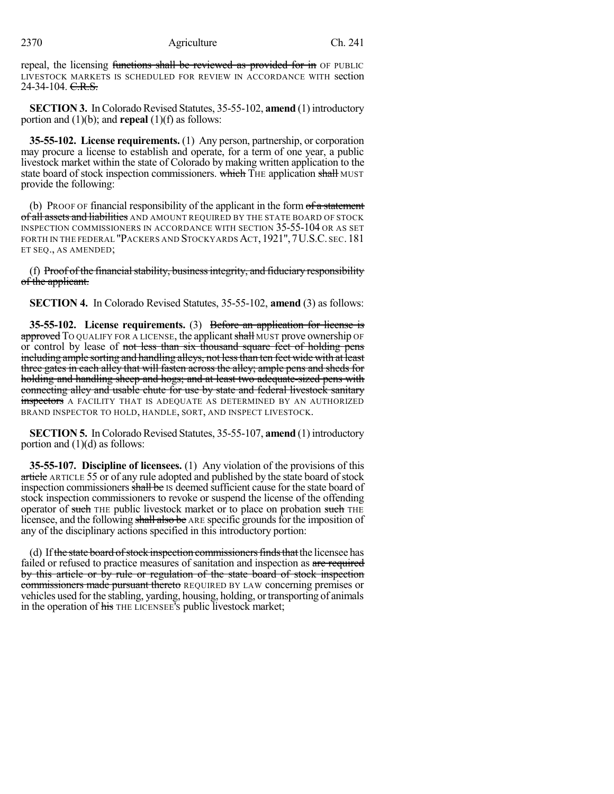#### 2370 Agriculture Ch. 241

repeal, the licensing functions shall be reviewed as provided for in OF PUBLIC LIVESTOCK MARKETS IS SCHEDULED FOR REVIEW IN ACCORDANCE WITH section 24-34-104. C.R.S.

**SECTION 3.** In Colorado Revised Statutes, 35-55-102, **amend** (1) introductory portion and (1)(b); and **repeal** (1)(f) as follows:

**35-55-102. License requirements.** (1) Any person, partnership, or corporation may procure a license to establish and operate, for a term of one year, a public livestock market within the state of Colorado by making written application to the state board of stock inspection commissioners. which THE application shall MUST provide the following:

(b) PROOF OF financial responsibility of the applicant in the form  $of a$  statement of all assets and liabilities AND AMOUNT REQUIRED BY THE STATE BOARD OF STOCK INSPECTION COMMISSIONERS IN ACCORDANCE WITH SECTION 35-55-104 OR AS SET FORTH IN THE FEDERAL "PACKERS AND STOCKYARDS ACT,1921",7U.S.C. SEC.181 ET SEQ., AS AMENDED;

(f) Proof of the financial stability, business integrity, and fiduciary responsibility of the applicant.

**SECTION 4.** In Colorado Revised Statutes, 35-55-102, **amend** (3) as follows:

**35-55-102. License requirements.** (3) Before an application for license is approved TO QUALIFY FOR A LICENSE, the applicant shall MUST prove ownership OF or control by lease of not less than six thousand square feet of holding pens including ample sorting and handling alleys, not less than ten feet wide with at least three gates in each alley that will fasten across the alley; ample pens and sheds for holding and handling sheep and hogs; and at least two adequate-sized pens with connecting alley and usable chute for use by state and federal livestock sanitary inspectors A FACILITY THAT IS ADEQUATE AS DETERMINED BY AN AUTHORIZED BRAND INSPECTOR TO HOLD, HANDLE, SORT, AND INSPECT LIVESTOCK.

**SECTION 5.** In Colorado Revised Statutes, 35-55-107, **amend** (1) introductory portion and  $(1)(d)$  as follows:

**35-55-107. Discipline of licensees.** (1) Any violation of the provisions of this article ARTICLE 55 or of any rule adopted and published by the state board of stock inspection commissioners shall be IS deemed sufficient cause for the state board of stock inspection commissioners to revoke or suspend the license of the offending operator of such THE public livestock market or to place on probation such THE licensee, and the following shall also be ARE specific grounds for the imposition of any of the disciplinary actions specified in this introductory portion:

(d) If the state board of stock inspection commissioners finds that the licensee has failed or refused to practice measures of sanitation and inspection as are required by this article or by rule or regulation of the state board of stock inspection commissioners made pursuant thereto REQUIRED BY LAW concerning premises or vehicles used for the stabling, yarding, housing, holding, ortransporting of animals in the operation of his THE LICENSEE's public livestock market;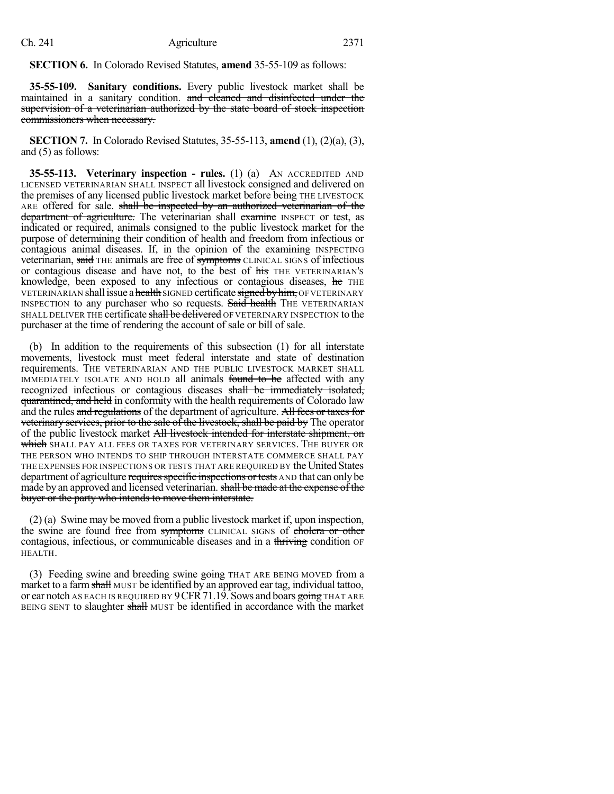### **SECTION 6.** In Colorado Revised Statutes, **amend** 35-55-109 as follows:

**35-55-109. Sanitary conditions.** Every public livestock market shall be maintained in a sanitary condition. and cleaned and disinfected under the supervision of a veterinarian authorized by the state board of stock inspection commissioners when necessary.

**SECTION 7.** In Colorado Revised Statutes, 35-55-113, **amend** (1), (2)(a), (3), and (5) as follows:

**35-55-113. Veterinary inspection - rules.** (1) (a) AN ACCREDITED AND LICENSED VETERINARIAN SHALL INSPECT all livestock consigned and delivered on the premises of any licensed public livestock market before being THE LIVESTOCK ARE offered for sale. shall be inspected by an authorized veterinarian of the department of agriculture. The veterinarian shall examine INSPECT or test, as indicated or required, animals consigned to the public livestock market for the purpose of determining their condition of health and freedom from infectious or contagious animal diseases. If, in the opinion of the examining INSPECTING veterinarian, said THE animals are free of symptoms CLINICAL SIGNS of infectious or contagious disease and have not, to the best of his THE VETERINARIAN'S knowledge, been exposed to any infectious or contagious diseases, he THE VETERINARIAN shall issue a health SIGNED certificate signed by him, OF VETERINARY INSPECTION to any purchaser who so requests. Said health THE VETERINARIAN SHALL DELIVER THE certificate shall be delivered OF VETERINARY INSPECTION to the purchaser at the time of rendering the account of sale or bill of sale.

(b) In addition to the requirements of this subsection (1) for all interstate movements, livestock must meet federal interstate and state of destination requirements. THE VETERINARIAN AND THE PUBLIC LIVESTOCK MARKET SHALL IMMEDIATELY ISOLATE AND HOLD all animals found to be affected with any recognized infectious or contagious diseases shall be immediately isolated, quarantined, and held in conformity with the health requirements of Colorado law and the rules and regulations of the department of agriculture. All fees or taxes for veterinary services, prior to the sale of the livestock, shall be paid by The operator of the public livestock market All livestock intended for interstate shipment, on which shall pay all fees or taxes for veterinary services. The buyer or THE PERSON WHO INTENDS TO SHIP THROUGH INTERSTATE COMMERCE SHALL PAY THE EXPENSES FOR INSPECTIONS OR TESTS THAT ARE REQUIRED BY the United States department of agriculture requires specific inspections or tests AND that can only be made by an approved and licensed veterinarian. shall be made at the expense of the buyer or the party who intends to move them interstate.

(2) (a) Swine may be moved from a public livestock market if, upon inspection, the swine are found free from symptoms CLINICAL SIGNS of cholera or other contagious, infectious, or communicable diseases and in a thriving condition OF HEALTH.

(3) Feeding swine and breeding swine  $g\ddot{\text{O}}$  That are being moved from a market to a farm shall MUST be identified by an approved ear tag, individual tattoo, or ear notch AS EACH IS REQUIRED BY  $9$  CFR 71.19. Sows and boars going THAT ARE BEING SENT to slaughter shall MUST be identified in accordance with the market